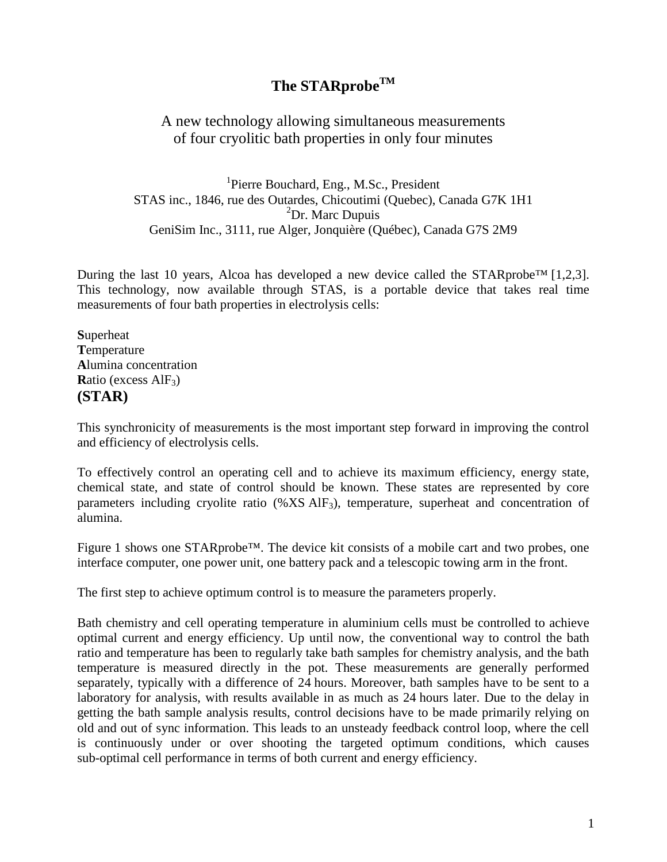# **The STARprobeTM**

## A new technology allowing simultaneous measurements of four cryolitic bath properties in only four minutes

<sup>1</sup>Pierre Bouchard, Eng., M.Sc., President STAS inc., 1846, rue des Outardes, Chicoutimi (Quebec), Canada G7K 1H1 <sup>2</sup>Dr. Marc Dupuis GeniSim Inc., 3111, rue Alger, Jonquière (Québec), Canada G7S 2M9

During the last 10 years, Alcoa has developed a new device called the STARprobe<sup>TM</sup> [1,2,3]. This technology, now available through STAS, is a portable device that takes real time measurements of four bath properties in electrolysis cells:

**S**uperheat **T**emperature **A**lumina concentration **R**atio (excess AlF<sub>3</sub>) **(STAR)**

This synchronicity of measurements is the most important step forward in improving the control and efficiency of electrolysis cells.

To effectively control an operating cell and to achieve its maximum efficiency, energy state, chemical state, and state of control should be known. These states are represented by core parameters including cryolite ratio (%XS AlF3), temperature, superheat and concentration of alumina.

Figure 1 shows one STARprobe™. The device kit consists of a mobile cart and two probes, one interface computer, one power unit, one battery pack and a telescopic towing arm in the front.

The first step to achieve optimum control is to measure the parameters properly.

Bath chemistry and cell operating temperature in aluminium cells must be controlled to achieve optimal current and energy efficiency. Up until now, the conventional way to control the bath ratio and temperature has been to regularly take bath samples for chemistry analysis, and the bath temperature is measured directly in the pot. These measurements are generally performed separately, typically with a difference of 24 hours. Moreover, bath samples have to be sent to a laboratory for analysis, with results available in as much as 24 hours later. Due to the delay in getting the bath sample analysis results, control decisions have to be made primarily relying on old and out of sync information. This leads to an unsteady feedback control loop, where the cell is continuously under or over shooting the targeted optimum conditions, which causes sub-optimal cell performance in terms of both current and energy efficiency.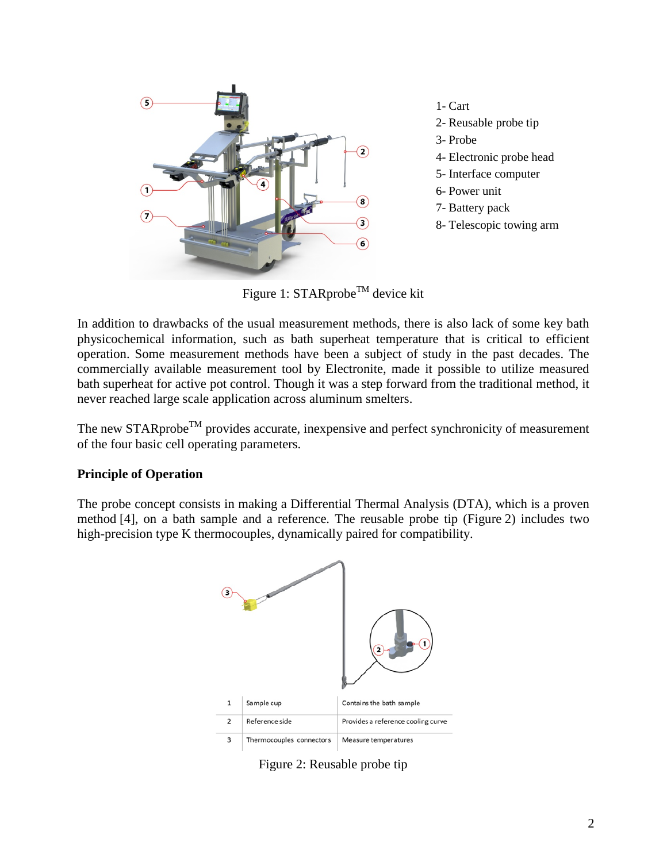

1- Cart 2- Reusable probe tip 3- Probe 4- Electronic probe head 5- Interface computer 6- Power unit 7- Battery pack 8- Telescopic towing arm

Figure 1: STARprobe<sup>TM</sup> device kit

In addition to drawbacks of the usual measurement methods, there is also lack of some key bath physicochemical information, such as bath superheat temperature that is critical to efficient operation. Some measurement methods have been a subject of study in the past decades. The commercially available measurement tool by Electronite, made it possible to utilize measured bath superheat for active pot control. Though it was a step forward from the traditional method, it never reached large scale application across aluminum smelters.

The new STARprobe<sup>TM</sup> provides accurate, inexpensive and perfect synchronicity of measurement of the four basic cell operating parameters.

#### **Principle of Operation**

The probe concept consists in making a Differential Thermal Analysis (DTA), which is a proven method [4], on a bath sample and a reference. The reusable probe tip (Figure 2) includes two high-precision type K thermocouples, dynamically paired for compatibility.



Figure 2: Reusable probe tip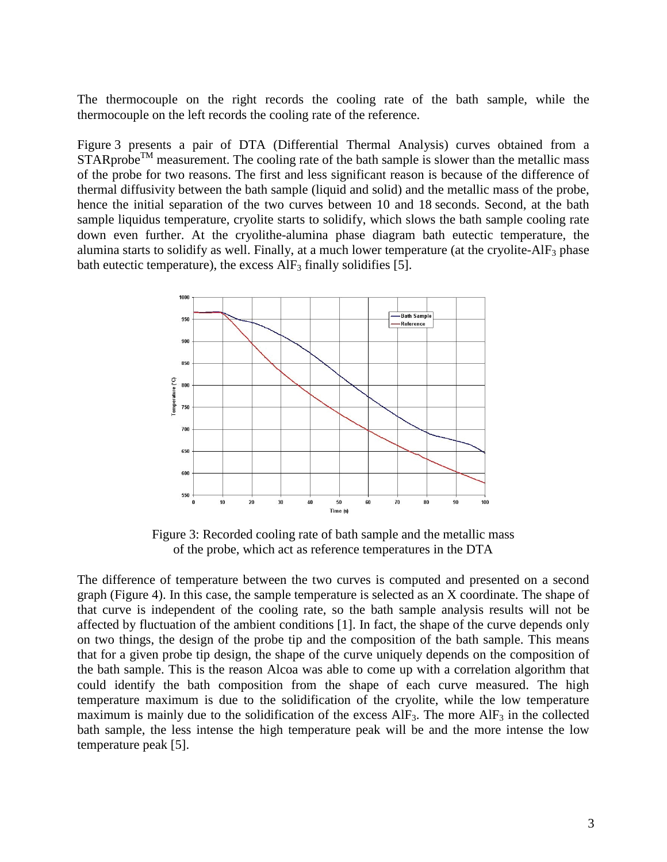The thermocouple on the right records the cooling rate of the bath sample, while the thermocouple on the left records the cooling rate of the reference.

Figure 3 presents a pair of DTA (Differential Thermal Analysis) curves obtained from a  $STARprobe<sup>TM</sup> measurement. The cooling rate of the bath sample is slower than the metallic mass$ of the probe for two reasons. The first and less significant reason is because of the difference of thermal diffusivity between the bath sample (liquid and solid) and the metallic mass of the probe, hence the initial separation of the two curves between 10 and 18 seconds. Second, at the bath sample liquidus temperature, cryolite starts to solidify, which slows the bath sample cooling rate down even further. At the cryolithe-alumina phase diagram bath eutectic temperature, the alumina starts to solidify as well. Finally, at a much lower temperature (at the cryolite-AlF<sub>3</sub> phase bath eutectic temperature), the excess  $\text{AIF}_3$  finally solidifies [5].



Figure 3: Recorded cooling rate of bath sample and the metallic mass of the probe, which act as reference temperatures in the DTA

The difference of temperature between the two curves is computed and presented on a second graph (Figure 4). In this case, the sample temperature is selected as an X coordinate. The shape of that curve is independent of the cooling rate, so the bath sample analysis results will not be affected by fluctuation of the ambient conditions [1]. In fact, the shape of the curve depends only on two things, the design of the probe tip and the composition of the bath sample. This means that for a given probe tip design, the shape of the curve uniquely depends on the composition of the bath sample. This is the reason Alcoa was able to come up with a correlation algorithm that could identify the bath composition from the shape of each curve measured. The high temperature maximum is due to the solidification of the cryolite, while the low temperature maximum is mainly due to the solidification of the excess  $\text{AIF}_3$ . The more  $\text{AIF}_3$  in the collected bath sample, the less intense the high temperature peak will be and the more intense the low temperature peak [5].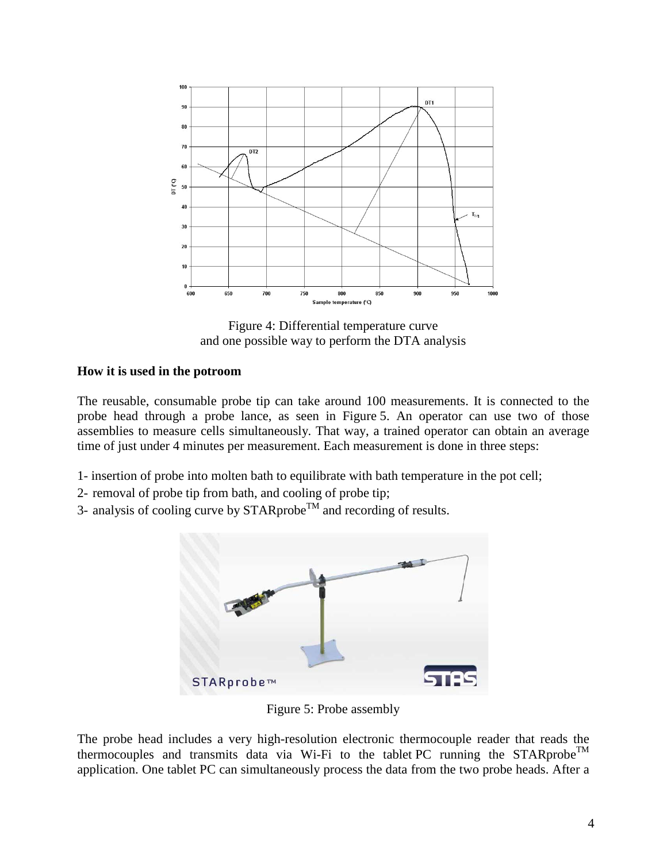

Figure 4: Differential temperature curve and one possible way to perform the DTA analysis

#### **How it is used in the potroom**

The reusable, consumable probe tip can take around 100 measurements. It is connected to the probe head through a probe lance, as seen in Figure 5. An operator can use two of those assemblies to measure cells simultaneously. That way, a trained operator can obtain an average time of just under 4 minutes per measurement. Each measurement is done in three steps:

- 1- insertion of probe into molten bath to equilibrate with bath temperature in the pot cell;
- 2- removal of probe tip from bath, and cooling of probe tip;
- 3- analysis of cooling curve by  $STARprob<sup>TM</sup>$  and recording of results.



Figure 5: Probe assembly

The probe head includes a very high-resolution electronic thermocouple reader that reads the thermocouples and transmits data via Wi-Fi to the tablet PC running the STARprobe<sup>TM</sup> application. One tablet PC can simultaneously process the data from the two probe heads. After a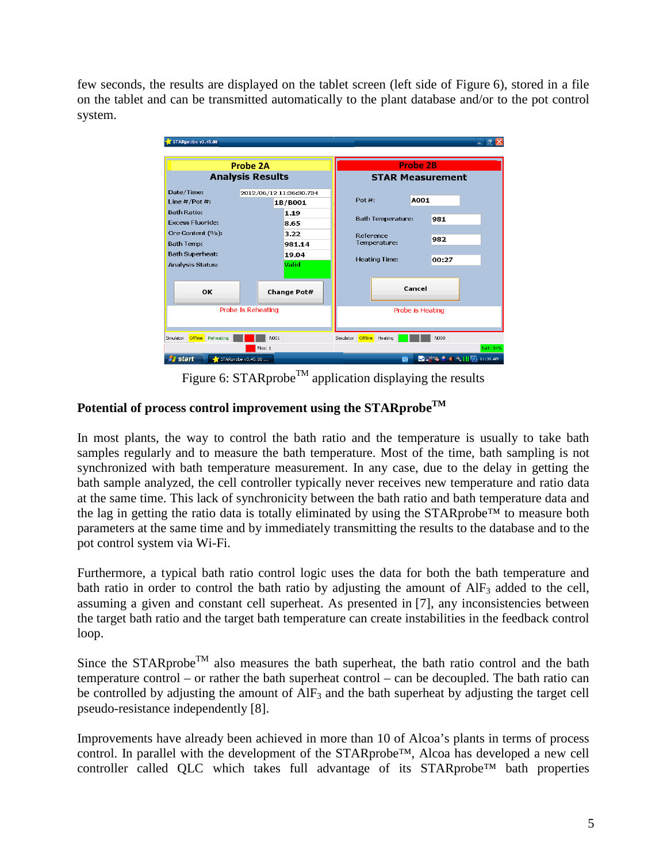few seconds, the results are displayed on the tablet screen (left side of Figure 6), stored in a file on the tablet and can be transmitted automatically to the plant database and/or to the pot control system.

| STARprobe v3.45.00                                      |                                    |                                            | a                 |
|---------------------------------------------------------|------------------------------------|--------------------------------------------|-------------------|
| Probe 2A<br><b>Analysis Results</b>                     |                                    | <b>Probe 2B</b><br><b>STAR Measurement</b> |                   |
| Date/Time:<br>Line $#$ /Pot $#$ :                       | 2012/06/12 11:36:30.734<br>1B/B001 | Pot $#$ :                                  | A001              |
| <b>Bath Ratio:</b><br><b>Excess Eluoride:</b>           | 1.19<br>8.65                       | <b>Bath Temperature:</b>                   | 981               |
| Ore Content (%):<br><b>Bath Temp:</b>                   | 3.22<br>981.14                     | Reference<br>Temperature:                  | 982               |
| <b>Bath Superheat:</b><br><b>Analysis Status:</b>       | 19.04<br>Valid                     | <b>Heating Time:</b>                       | 00:27             |
| OK<br>Change Pot#                                       |                                    | Cancel                                     |                   |
| <b>Probe Is Reheating</b>                               |                                    | Probe is Heating                           |                   |
| <b>Offline</b><br>Reheating<br>Simulator<br>Files: 1    | N001                               | <b>Offline</b><br>Heating<br>Simulator     | N000<br>Batt: 34% |
| <b><i>P<sub>i</sub></i></b> start<br>STARprobe v3.45.00 | EN                                 | <b>○□ % P 4 % IIII</b> 11:38 AM            |                   |

Figure 6:  $STARprobe^{TM}$  application displaying the results

### Potential of process control improvement using the STARprobe<sup>TM</sup>

In most plants, the way to control the bath ratio and the temperature is usually to take bath samples regularly and to measure the bath temperature. Most of the time, bath sampling is not synchronized with bath temperature measurement. In any case, due to the delay in getting the bath sample analyzed, the cell controller typically never receives new temperature and ratio data at the same time. This lack of synchronicity between the bath ratio and bath temperature data and the lag in getting the ratio data is totally eliminated by using the STARprobe™ to measure both parameters at the same time and by immediately transmitting the results to the database and to the pot control system via Wi-Fi.

Furthermore, a typical bath ratio control logic uses the data for both the bath temperature and bath ratio in order to control the bath ratio by adjusting the amount of  $\text{AIF}_3$  added to the cell, assuming a given and constant cell superheat. As presented in [7], any inconsistencies between the target bath ratio and the target bath temperature can create instabilities in the feedback control loop.

Since the STARprobe<sup>TM</sup> also measures the bath superheat, the bath ratio control and the bath temperature control – or rather the bath superheat control – can be decoupled. The bath ratio can be controlled by adjusting the amount of  $\text{AIF}_3$  and the bath superheat by adjusting the target cell pseudo-resistance independently [8].

Improvements have already been achieved in more than 10 of Alcoa's plants in terms of process control. In parallel with the development of the STARprobe™, Alcoa has developed a new cell controller called QLC which takes full advantage of its STARprobe™ bath properties